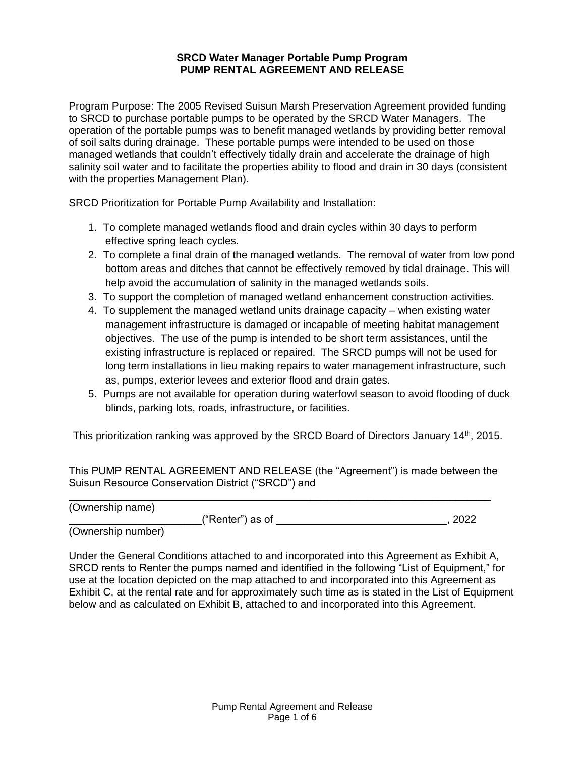#### **SRCD Water Manager Portable Pump Program PUMP RENTAL AGREEMENT AND RELEASE**

Program Purpose: The 2005 Revised Suisun Marsh Preservation Agreement provided funding to SRCD to purchase portable pumps to be operated by the SRCD Water Managers. The operation of the portable pumps was to benefit managed wetlands by providing better removal of soil salts during drainage. These portable pumps were intended to be used on those managed wetlands that couldn't effectively tidally drain and accelerate the drainage of high salinity soil water and to facilitate the properties ability to flood and drain in 30 days (consistent with the properties Management Plan).

SRCD Prioritization for Portable Pump Availability and Installation:

- 1. To complete managed wetlands flood and drain cycles within 30 days to perform effective spring leach cycles.
- 2. To complete a final drain of the managed wetlands. The removal of water from low pond bottom areas and ditches that cannot be effectively removed by tidal drainage. This will help avoid the accumulation of salinity in the managed wetlands soils.
- 3. To support the completion of managed wetland enhancement construction activities.
- 4. To supplement the managed wetland units drainage capacity when existing water management infrastructure is damaged or incapable of meeting habitat management objectives. The use of the pump is intended to be short term assistances, until the existing infrastructure is replaced or repaired. The SRCD pumps will not be used for long term installations in lieu making repairs to water management infrastructure, such as, pumps, exterior levees and exterior flood and drain gates.
- 5. Pumps are not available for operation during waterfowl season to avoid flooding of duck blinds, parking lots, roads, infrastructure, or facilities.

This prioritization ranking was approved by the SRCD Board of Directors January 14<sup>th</sup>, 2015.

This PUMP RENTAL AGREEMENT AND RELEASE (the "Agreement") is made between the Suisun Resource Conservation District ("SRCD") and

(Ownership name)

\_\_\_\_\_\_\_\_\_\_\_("Renter") as of , 2022

\_\_\_\_\_\_\_\_\_\_\_\_\_\_\_\_\_\_\_\_\_\_\_\_\_\_\_\_\_\_\_

(Ownership number)

Under the General Conditions attached to and incorporated into this Agreement as Exhibit A, SRCD rents to Renter the pumps named and identified in the following "List of Equipment," for use at the location depicted on the map attached to and incorporated into this Agreement as Exhibit C, at the rental rate and for approximately such time as is stated in the List of Equipment below and as calculated on Exhibit B, attached to and incorporated into this Agreement.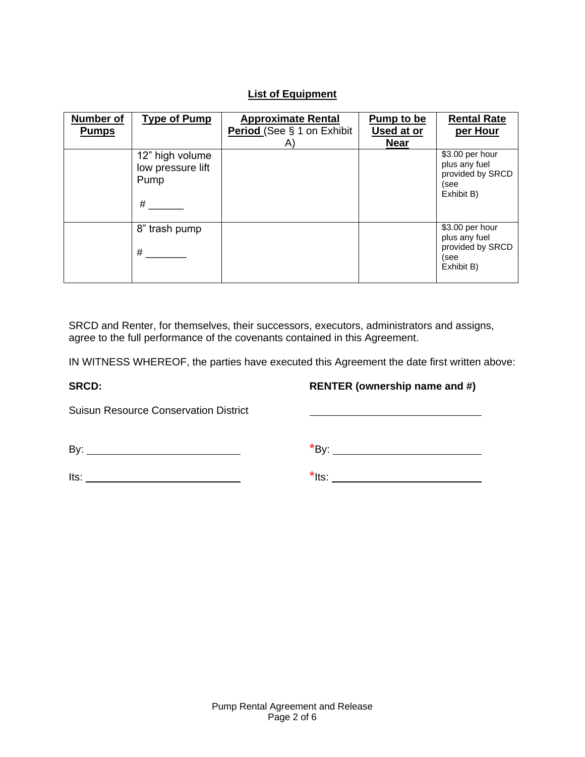# **List of Equipment**

| <b>Number of</b><br><b>Pumps</b> | <b>Type of Pump</b>                               | <b>Approximate Rental</b><br>Period (See § 1 on Exhibit | Pump to be<br>Used at or | <b>Rental Rate</b><br>per Hour                                             |
|----------------------------------|---------------------------------------------------|---------------------------------------------------------|--------------------------|----------------------------------------------------------------------------|
|                                  |                                                   | A)                                                      | <b>Near</b>              |                                                                            |
|                                  | 12" high volume<br>low pressure lift<br>Pump<br># |                                                         |                          | \$3.00 per hour<br>plus any fuel<br>provided by SRCD<br>(see<br>Exhibit B) |
|                                  | 8" trash pump<br>#                                |                                                         |                          | \$3.00 per hour<br>plus any fuel<br>provided by SRCD<br>(see<br>Exhibit B) |

SRCD and Renter, for themselves, their successors, executors, administrators and assigns, agree to the full performance of the covenants contained in this Agreement.

IN WITNESS WHEREOF, the parties have executed this Agreement the date first written above:

**SRCD: RENTER (ownership name and #)**

Suisun Resource Conservation District

By: \*By:

 $Its: ____________$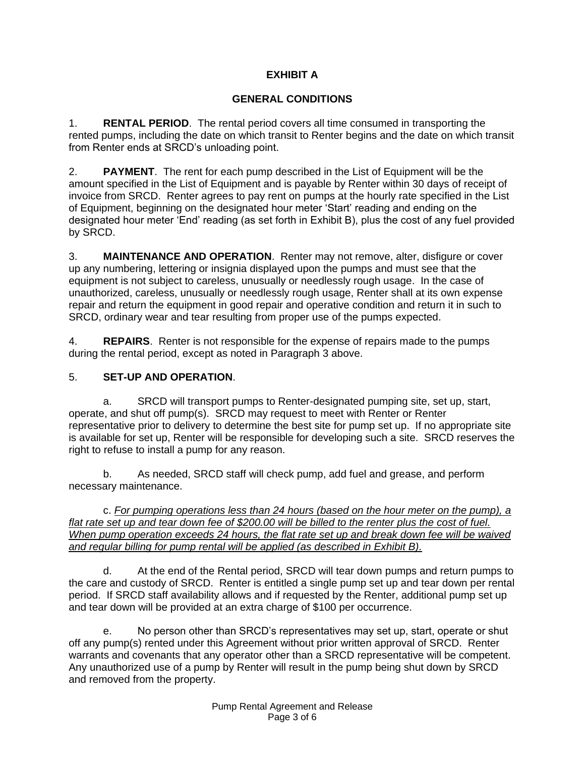# **EXHIBIT A**

### **GENERAL CONDITIONS**

1. **RENTAL PERIOD**. The rental period covers all time consumed in transporting the rented pumps, including the date on which transit to Renter begins and the date on which transit from Renter ends at SRCD's unloading point.

2. **PAYMENT**. The rent for each pump described in the List of Equipment will be the amount specified in the List of Equipment and is payable by Renter within 30 days of receipt of invoice from SRCD. Renter agrees to pay rent on pumps at the hourly rate specified in the List of Equipment, beginning on the designated hour meter 'Start' reading and ending on the designated hour meter 'End' reading (as set forth in Exhibit B), plus the cost of any fuel provided by SRCD.

3. **MAINTENANCE AND OPERATION**. Renter may not remove, alter, disfigure or cover up any numbering, lettering or insignia displayed upon the pumps and must see that the equipment is not subject to careless, unusually or needlessly rough usage. In the case of unauthorized, careless, unusually or needlessly rough usage, Renter shall at its own expense repair and return the equipment in good repair and operative condition and return it in such to SRCD, ordinary wear and tear resulting from proper use of the pumps expected.

4. **REPAIRS**. Renter is not responsible for the expense of repairs made to the pumps during the rental period, except as noted in Paragraph 3 above.

## 5. **SET-UP AND OPERATION**.

a. SRCD will transport pumps to Renter-designated pumping site, set up, start, operate, and shut off pump(s). SRCD may request to meet with Renter or Renter representative prior to delivery to determine the best site for pump set up. If no appropriate site is available for set up, Renter will be responsible for developing such a site. SRCD reserves the right to refuse to install a pump for any reason.

b. As needed, SRCD staff will check pump, add fuel and grease, and perform necessary maintenance.

c. *For pumping operations less than 24 hours (based on the hour meter on the pump), a flat rate set up and tear down fee of \$200.00 will be billed to the renter plus the cost of fuel. When pump operation exceeds 24 hours, the flat rate set up and break down fee will be waived and regular billing for pump rental will be applied (as described in Exhibit B).*

d. At the end of the Rental period, SRCD will tear down pumps and return pumps to the care and custody of SRCD. Renter is entitled a single pump set up and tear down per rental period. If SRCD staff availability allows and if requested by the Renter, additional pump set up and tear down will be provided at an extra charge of \$100 per occurrence.

e. No person other than SRCD's representatives may set up, start, operate or shut off any pump(s) rented under this Agreement without prior written approval of SRCD. Renter warrants and covenants that any operator other than a SRCD representative will be competent. Any unauthorized use of a pump by Renter will result in the pump being shut down by SRCD and removed from the property.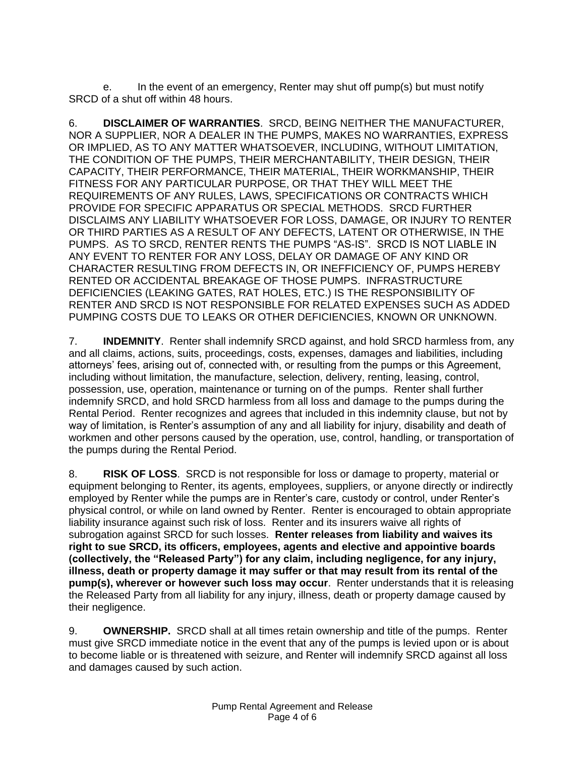e. In the event of an emergency, Renter may shut off pump(s) but must notify SRCD of a shut off within 48 hours.

6. **DISCLAIMER OF WARRANTIES**. SRCD, BEING NEITHER THE MANUFACTURER, NOR A SUPPLIER, NOR A DEALER IN THE PUMPS, MAKES NO WARRANTIES, EXPRESS OR IMPLIED, AS TO ANY MATTER WHATSOEVER, INCLUDING, WITHOUT LIMITATION, THE CONDITION OF THE PUMPS, THEIR MERCHANTABILITY, THEIR DESIGN, THEIR CAPACITY, THEIR PERFORMANCE, THEIR MATERIAL, THEIR WORKMANSHIP, THEIR FITNESS FOR ANY PARTICULAR PURPOSE, OR THAT THEY WILL MEET THE REQUIREMENTS OF ANY RULES, LAWS, SPECIFICATIONS OR CONTRACTS WHICH PROVIDE FOR SPECIFIC APPARATUS OR SPECIAL METHODS. SRCD FURTHER DISCLAIMS ANY LIABILITY WHATSOEVER FOR LOSS, DAMAGE, OR INJURY TO RENTER OR THIRD PARTIES AS A RESULT OF ANY DEFECTS, LATENT OR OTHERWISE, IN THE PUMPS. AS TO SRCD, RENTER RENTS THE PUMPS "AS-IS". SRCD IS NOT LIABLE IN ANY EVENT TO RENTER FOR ANY LOSS, DELAY OR DAMAGE OF ANY KIND OR CHARACTER RESULTING FROM DEFECTS IN, OR INEFFICIENCY OF, PUMPS HEREBY RENTED OR ACCIDENTAL BREAKAGE OF THOSE PUMPS. INFRASTRUCTURE DEFICIENCIES (LEAKING GATES, RAT HOLES, ETC.) IS THE RESPONSIBILITY OF RENTER AND SRCD IS NOT RESPONSIBLE FOR RELATED EXPENSES SUCH AS ADDED PUMPING COSTS DUE TO LEAKS OR OTHER DEFICIENCIES, KNOWN OR UNKNOWN.

7. **INDEMNITY**. Renter shall indemnify SRCD against, and hold SRCD harmless from, any and all claims, actions, suits, proceedings, costs, expenses, damages and liabilities, including attorneys' fees, arising out of, connected with, or resulting from the pumps or this Agreement, including without limitation, the manufacture, selection, delivery, renting, leasing, control, possession, use, operation, maintenance or turning on of the pumps. Renter shall further indemnify SRCD, and hold SRCD harmless from all loss and damage to the pumps during the Rental Period. Renter recognizes and agrees that included in this indemnity clause, but not by way of limitation, is Renter's assumption of any and all liability for injury, disability and death of workmen and other persons caused by the operation, use, control, handling, or transportation of the pumps during the Rental Period.

8. **RISK OF LOSS**. SRCD is not responsible for loss or damage to property, material or equipment belonging to Renter, its agents, employees, suppliers, or anyone directly or indirectly employed by Renter while the pumps are in Renter's care, custody or control, under Renter's physical control, or while on land owned by Renter. Renter is encouraged to obtain appropriate liability insurance against such risk of loss. Renter and its insurers waive all rights of subrogation against SRCD for such losses. **Renter releases from liability and waives its right to sue SRCD, its officers, employees, agents and elective and appointive boards (collectively, the "Released Party") for any claim, including negligence, for any injury, illness, death or property damage it may suffer or that may result from its rental of the pump(s), wherever or however such loss may occur**. Renter understands that it is releasing the Released Party from all liability for any injury, illness, death or property damage caused by their negligence.

9. **OWNERSHIP.** SRCD shall at all times retain ownership and title of the pumps. Renter must give SRCD immediate notice in the event that any of the pumps is levied upon or is about to become liable or is threatened with seizure, and Renter will indemnify SRCD against all loss and damages caused by such action.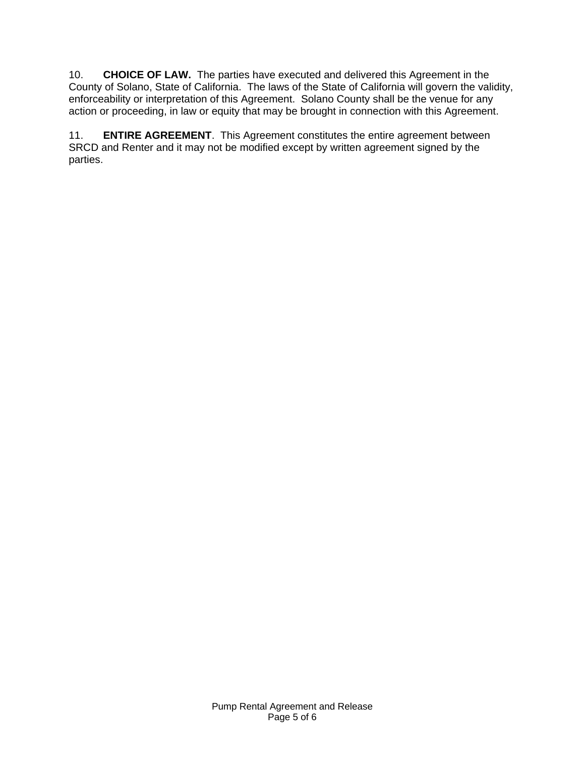10. **CHOICE OF LAW.** The parties have executed and delivered this Agreement in the County of Solano, State of California. The laws of the State of California will govern the validity, enforceability or interpretation of this Agreement. Solano County shall be the venue for any action or proceeding, in law or equity that may be brought in connection with this Agreement.

11. **ENTIRE AGREEMENT**. This Agreement constitutes the entire agreement between SRCD and Renter and it may not be modified except by written agreement signed by the parties.